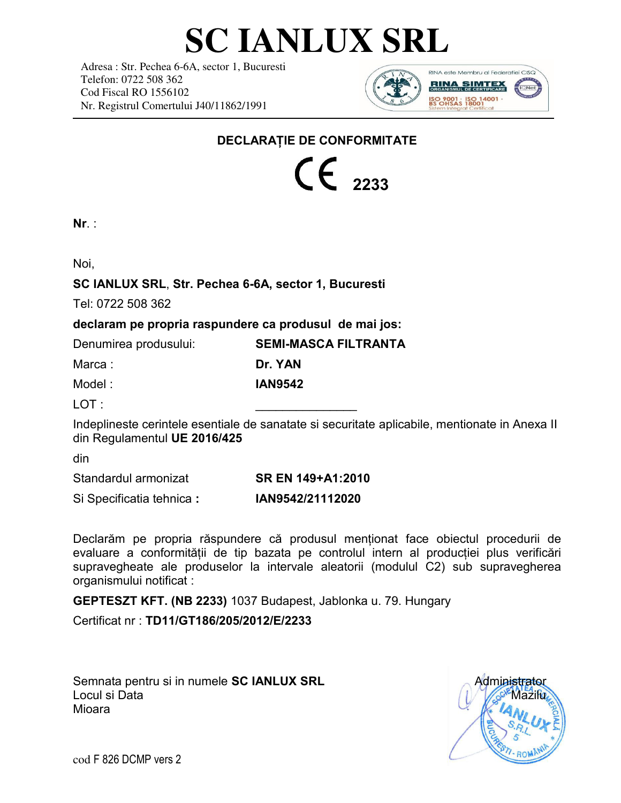# **SC IANLUX SRL**

Adresa : Str. Pechea 6-6A, sector 1, Bucuresti Telefon: 0722 508 362 Cod Fiscal RO 1556102 Nr. Registrul Comertului J40/11862/1991



### **DECLARAȚIE DE CONFORMITATE**

 $\int f_{2233}$ 

| ٠ |  |
|---|--|
|   |  |

Noi,

### **SC IANLUX SRL**, **Str. Pechea 6-6A, sector 1, Bucuresti**

Tel: 0722 508 362

**declaram pe propria raspundere ca produsul de mai jos:** 

| Denumirea produsului: | <b>SEMI-MASCA FILTRANTA</b> |
|-----------------------|-----------------------------|
| Marca :               | Dr. YAN                     |
| Model :               | <b>IAN9542</b>              |

LOT : \_\_\_\_\_\_\_\_\_\_\_\_\_\_\_

Indeplineste cerintele esentiale de sanatate si securitate aplicabile, mentionate in Anexa II din Regulamentul **UE 2016/425**

din

Standardul armonizat **SR EN 149+A1:2010** 

Si Specificatia tehnica **: IAN9542/21112020**

Declarăm pe propria răspundere că produsul menționat face obiectul procedurii de evaluare a conformității de tip bazata pe controlul intern al producției plus verificări supravegheate ale produselor la intervale aleatorii (modulul C2) sub supravegherea organismului notificat :

**GEPTESZT KFT. (NB 2233)** 1037 Budapest, Jablonka u. 79. Hungary

Certificat nr : **TD11/GT186/205/2012/E/2233**

Semnata pentru si in numele **SC IANLUX SRL** Administrator Locul si Data Mioara



cod F 826 DCMP vers 2